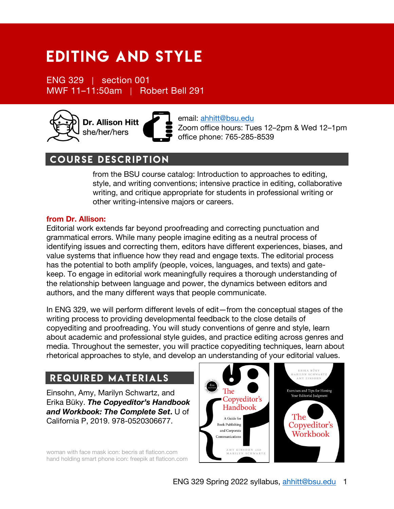# Editing and style

ENG 329 | section 001 MWF 11–11:50am | Robert Bell 291



email: ahhitt@bsu.edu Zoom office hours: Tues 12–2pm & Wed 12–1pm office phone: 765-285-8539

# course description

from the BSU course catalog: Introduction to approaches to editing, style, and writing conventions; intensive practice in editing, collaborative writing, and critique appropriate for students in professional writing or other writing-intensive majors or careers.

## **from Dr. Allison:**

Editorial work extends far beyond proofreading and correcting punctuation and grammatical errors. While many people imagine editing as a neutral process of identifying issues and correcting them, editors have different experiences, biases, and value systems that influence how they read and engage texts. The editorial process has the potential to both amplify (people, voices, languages, and texts) and gatekeep. To engage in editorial work meaningfully requires a thorough understanding of the relationship between language and power, the dynamics between editors and authors, and the many different ways that people communicate.

In ENG 329, we will perform different levels of edit—from the conceptual stages of the writing process to providing developmental feedback to the close details of copyediting and proofreading. You will study conventions of genre and style, learn about academic and professional style guides, and practice editing across genres and media. Throughout the semester, you will practice copyediting techniques, learn about rhetorical approaches to style, and develop an understanding of your editorial values.

# Required Materials

Einsohn, Amy, Marilyn Schwartz, and Erika Büky. *The Copyeditor's Handbook and Workbook: The Complete Set***.** U of California P, 2019. 978-0520306677.

woman with face mask icon: becris at flaticon.com hand holding smart phone icon: freepik at flaticon.com

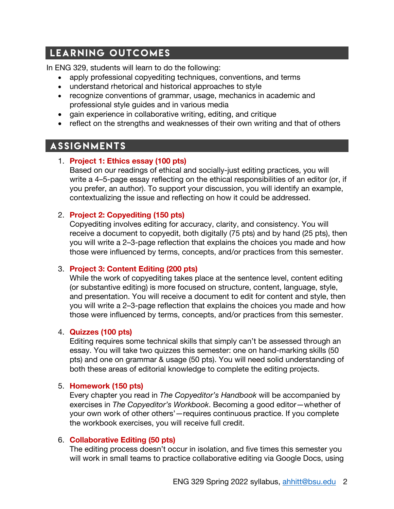# Learning Outcomes

In ENG 329, students will learn to do the following:

- apply professional copyediting techniques, conventions, and terms
- understand rhetorical and historical approaches to style
- recognize conventions of grammar, usage, mechanics in academic and professional style guides and in various media
- gain experience in collaborative writing, editing, and critique
- reflect on the strengths and weaknesses of their own writing and that of others

# **ASSIGNMENTS**

# 1. **Project 1: Ethics essay (100 pts)**

Based on our readings of ethical and socially-just editing practices, you will write a 4–5-page essay reflecting on the ethical responsibilities of an editor (or, if you prefer, an author). To support your discussion, you will identify an example, contextualizing the issue and reflecting on how it could be addressed.

# 2. **Project 2: Copyediting (150 pts)**

Copyediting involves editing for accuracy, clarity, and consistency. You will receive a document to copyedit, both digitally (75 pts) and by hand (25 pts), then you will write a 2–3-page reflection that explains the choices you made and how those were influenced by terms, concepts, and/or practices from this semester.

# 3. **Project 3: Content Editing (200 pts)**

While the work of copyediting takes place at the sentence level, content editing (or substantive editing) is more focused on structure, content, language, style, and presentation. You will receive a document to edit for content and style, then you will write a 2–3-page reflection that explains the choices you made and how those were influenced by terms, concepts, and/or practices from this semester.

### 4. **Quizzes (100 pts)**

Editing requires some technical skills that simply can't be assessed through an essay. You will take two quizzes this semester: one on hand-marking skills (50 pts) and one on grammar & usage (50 pts). You will need solid understanding of both these areas of editorial knowledge to complete the editing projects.

# 5. **Homework (150 pts)**

Every chapter you read in *The Copyeditor's Handbook* will be accompanied by exercises in *The Copyeditor's Workbook*. Becoming a good editor—whether of your own work of other others'—requires continuous practice. If you complete the workbook exercises, you will receive full credit.

# 6. **Collaborative Editing (50 pts)**

The editing process doesn't occur in isolation, and five times this semester you will work in small teams to practice collaborative editing via Google Docs, using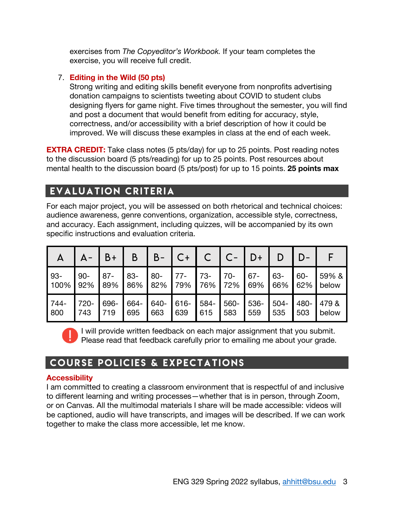exercises from *The Copyeditor's Workbook.* If your team completes the exercise, you will receive full credit.

# 7. **Editing in the Wild (50 pts)**

Strong writing and editing skills benefit everyone from nonprofits advertising donation campaigns to scientists tweeting about COVID to student clubs designing flyers for game night. Five times throughout the semester, you will find and post a document that would benefit from editing for accuracy, style, correctness, and/or accessibility with a brief description of how it could be improved. We will discuss these examples in class at the end of each week.

**EXTRA CREDIT:** Take class notes (5 pts/day) for up to 25 points. Post reading notes to the discussion board (5 pts/reading) for up to 25 points. Post resources about mental health to the discussion board (5 pts/post) for up to 15 points. **25 points max**

# Evaluation Criteria

For each major project, you will be assessed on both rhetorical and technical choices: audience awareness, genre conventions, organization, accessible style, correctness, and accuracy. Each assignment, including quizzes, will be accompanied by its own specific instructions and evaluation criteria.

|      |        | B+     | Β      | $B -$  | C+    |       |       | D+     |         |        |       |
|------|--------|--------|--------|--------|-------|-------|-------|--------|---------|--------|-------|
| 93-  | $90 -$ | $87 -$ | $83 -$ | $80 -$ | $77-$ | $73-$ | $70-$ | $67 -$ | 63-     | $60 -$ | 59% & |
| 100% | 92%    | 89%    | 86%    | 82%    | 79%   | 76%   | 72%   | 69%    | 66%     | 62%    | below |
| 744- | 720-   | 696-   | 664-   | 640-   | 616-  | 584-  | 560-  | 536-   | $504 -$ | 480-   | 479 & |
| 800  | 743    | 719    | 695    | 663    | 639   | 615   | 583   | 559    | 535     | 503    | below |

I will provide written feedback on each major assignment that you submit. Please read that feedback carefully prior to emailing me about your grade.

# **COURSE POLICIES & EXPECTATIONS**

# **Accessibility**

I am committed to creating a classroom environment that is respectful of and inclusive to different learning and writing processes—whether that is in person, through Zoom, or on Canvas. All the multimodal materials I share will be made accessible: videos will be captioned, audio will have transcripts, and images will be described. If we can work together to make the class more accessible, let me know.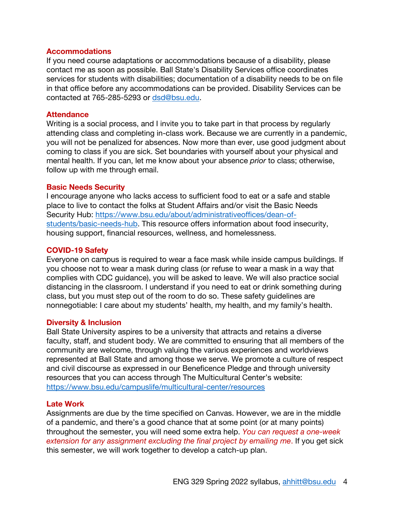#### **Accommodations**

If you need course adaptations or accommodations because of a disability, please contact me as soon as possible. Ball State's Disability Services office coordinates services for students with disabilities; documentation of a disability needs to be on file in that office before any accommodations can be provided. Disability Services can be contacted at 765-285-5293 or dsd@bsu.edu.

#### **Attendance**

Writing is a social process, and I invite you to take part in that process by regularly attending class and completing in-class work. Because we are currently in a pandemic, you will not be penalized for absences. Now more than ever, use good judgment about coming to class if you are sick. Set boundaries with yourself about your physical and mental health. If you can, let me know about your absence *prior* to class; otherwise, follow up with me through email.

#### **Basic Needs Security**

I encourage anyone who lacks access to sufficient food to eat or a safe and stable place to live to contact the folks at Student Affairs and/or visit the Basic Needs Security Hub: https://www.bsu.edu/about/administrativeoffices/dean-ofstudents/basic-needs-hub. This resource offers information about food insecurity, housing support, financial resources, wellness, and homelessness.

#### **COVID-19 Safety**

Everyone on campus is required to wear a face mask while inside campus buildings. If you choose not to wear a mask during class (or refuse to wear a mask in a way that complies with CDC guidance), you will be asked to leave. We will also practice social distancing in the classroom. I understand if you need to eat or drink something during class, but you must step out of the room to do so. These safety guidelines are nonnegotiable: I care about my students' health, my health, and my family's health.

#### **Diversity & Inclusion**

Ball State University aspires to be a university that attracts and retains a diverse faculty, staff, and student body. We are committed to ensuring that all members of the community are welcome, through valuing the various experiences and worldviews represented at Ball State and among those we serve. We promote a culture of respect and civil discourse as expressed in our Beneficence Pledge and through university resources that you can access through The Multicultural Center's website: https://www.bsu.edu/campuslife/multicultural-center/resources

### **Late Work**

Assignments are due by the time specified on Canvas. However, we are in the middle of a pandemic, and there's a good chance that at some point (or at many points) throughout the semester, you will need some extra help. *You can request a one-week extension for any assignment excluding the final project by emailing me*. If you get sick this semester, we will work together to develop a catch-up plan.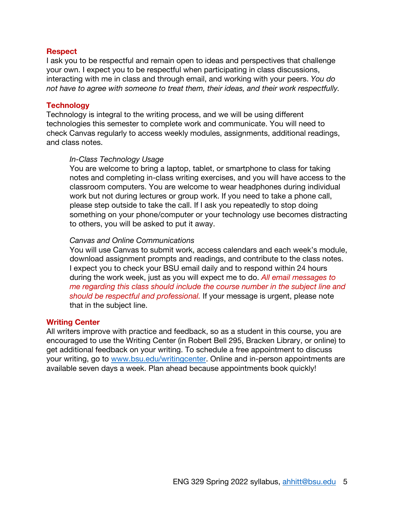#### **Respect**

I ask you to be respectful and remain open to ideas and perspectives that challenge your own. I expect you to be respectful when participating in class discussions, interacting with me in class and through email, and working with your peers. *You do not have to agree with someone to treat them, their ideas, and their work respectfully.*

#### **Technology**

Technology is integral to the writing process, and we will be using different technologies this semester to complete work and communicate. You will need to check Canvas regularly to access weekly modules, assignments, additional readings, and class notes.

#### *In-Class Technology Usage*

You are welcome to bring a laptop, tablet, or smartphone to class for taking notes and completing in-class writing exercises, and you will have access to the classroom computers. You are welcome to wear headphones during individual work but not during lectures or group work. If you need to take a phone call, please step outside to take the call. If I ask you repeatedly to stop doing something on your phone/computer or your technology use becomes distracting to others, you will be asked to put it away.

#### *Canvas and Online Communications*

You will use Canvas to submit work, access calendars and each week's module, download assignment prompts and readings, and contribute to the class notes. I expect you to check your BSU email daily and to respond within 24 hours during the work week, just as you will expect me to do. *All email messages to me regarding this class should include the course number in the subject line and should be respectful and professional.* If your message is urgent, please note that in the subject line.

#### **Writing Center**

All writers improve with practice and feedback, so as a student in this course, you are encouraged to use the Writing Center (in Robert Bell 295, Bracken Library, or online) to get additional feedback on your writing. To schedule a free appointment to discuss your writing, go to www.bsu.edu/writingcenter. Online and in-person appointments are available seven days a week. Plan ahead because appointments book quickly!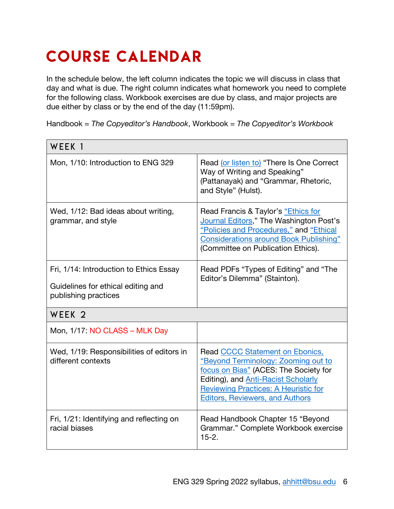# COURSE CALENDAR

In the schedule below, the left column indicates the topic we will discuss in class that day and what is due. The right column indicates what homework you need to complete for the following class. Workbook exercises are due by class, and major projects are due either by class or by the end of the day (11:59pm).

Handbook = *The Copyeditor's Handbook*, Workbook = *The Copyeditor's Workbook*

| WEEK 1                                                                                                |                                                                                                                                                                                                                                                        |  |
|-------------------------------------------------------------------------------------------------------|--------------------------------------------------------------------------------------------------------------------------------------------------------------------------------------------------------------------------------------------------------|--|
| Mon, 1/10: Introduction to ENG 329                                                                    | Read (or listen to) "There Is One Correct<br>Way of Writing and Speaking"<br>(Pattanayak) and "Grammar, Rhetoric,<br>and Style" (Hulst).                                                                                                               |  |
| Wed, 1/12: Bad ideas about writing,<br>grammar, and style                                             | Read Francis & Taylor's "Ethics for<br>Journal Editors," The Washington Post's<br>"Policies and Procedures," and "Ethical<br><b>Considerations around Book Publishing"</b><br>(Committee on Publication Ethics).                                       |  |
| Fri, 1/14: Introduction to Ethics Essay<br>Guidelines for ethical editing and<br>publishing practices | Read PDFs "Types of Editing" and "The<br>Editor's Dilemma" (Stainton).                                                                                                                                                                                 |  |
| WEEK <sub>2</sub>                                                                                     |                                                                                                                                                                                                                                                        |  |
| Mon, 1/17: NO CLASS - MLK Day                                                                         |                                                                                                                                                                                                                                                        |  |
| Wed, 1/19: Responsibilities of editors in<br>different contexts                                       | Read CCCC Statement on Ebonics,<br>"Beyond Terminology: Zooming out to<br>focus on Bias" (ACES: The Society for<br>Editing), and <b>Anti-Racist Scholarly</b><br><b>Reviewing Practices: A Heuristic for</b><br><b>Editors, Reviewers, and Authors</b> |  |
| Fri, 1/21: Identifying and reflecting on<br>racial biases                                             | Read Handbook Chapter 15 "Beyond<br>Grammar." Complete Workbook exercise<br>$15-2.$                                                                                                                                                                    |  |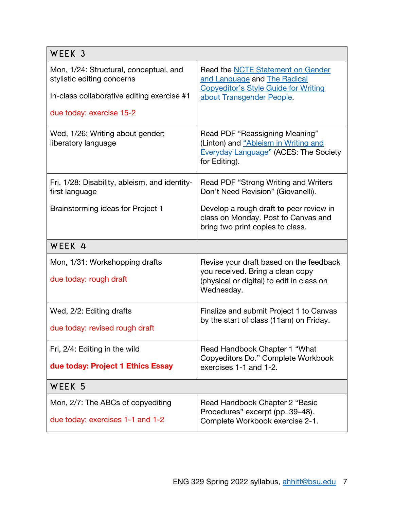| WEEK <sub>3</sub>                                                                                                  |                                                                                                                                               |  |  |
|--------------------------------------------------------------------------------------------------------------------|-----------------------------------------------------------------------------------------------------------------------------------------------|--|--|
| Mon, 1/24: Structural, conceptual, and<br>stylistic editing concerns<br>In-class collaborative editing exercise #1 | Read the NCTE Statement on Gender<br>and Language and The Radical<br><b>Copyeditor's Style Guide for Writing</b><br>about Transgender People. |  |  |
| due today: exercise 15-2                                                                                           |                                                                                                                                               |  |  |
| Wed, 1/26: Writing about gender;<br>liberatory language                                                            | Read PDF "Reassigning Meaning"<br>(Linton) and "Ableism in Writing and<br><b>Everyday Language" (ACES: The Society</b><br>for Editing).       |  |  |
| Fri, 1/28: Disability, ableism, and identity-<br>first language                                                    | Read PDF "Strong Writing and Writers"<br>Don't Need Revision" (Giovanelli).                                                                   |  |  |
| Brainstorming ideas for Project 1                                                                                  | Develop a rough draft to peer review in<br>class on Monday. Post to Canvas and<br>bring two print copies to class.                            |  |  |
| WEEK <sub>4</sub>                                                                                                  |                                                                                                                                               |  |  |
| Mon, 1/31: Workshopping drafts<br>due today: rough draft                                                           | Revise your draft based on the feedback<br>you received. Bring a clean copy<br>(physical or digital) to edit in class on<br>Wednesday.        |  |  |
| Wed, 2/2: Editing drafts<br>due today: revised rough draft                                                         | Finalize and submit Project 1 to Canvas<br>by the start of class (11am) on Friday.                                                            |  |  |
| Fri, 2/4: Editing in the wild<br>due today: Project 1 Ethics Essay                                                 | Read Handbook Chapter 1 "What<br>Copyeditors Do." Complete Workbook<br>exercises 1-1 and 1-2.                                                 |  |  |
| WEEK 5                                                                                                             |                                                                                                                                               |  |  |
| Mon, 2/7: The ABCs of copyediting<br>due today: exercises 1-1 and 1-2                                              | Read Handbook Chapter 2 "Basic<br>Procedures" excerpt (pp. 39-48).<br>Complete Workbook exercise 2-1.                                         |  |  |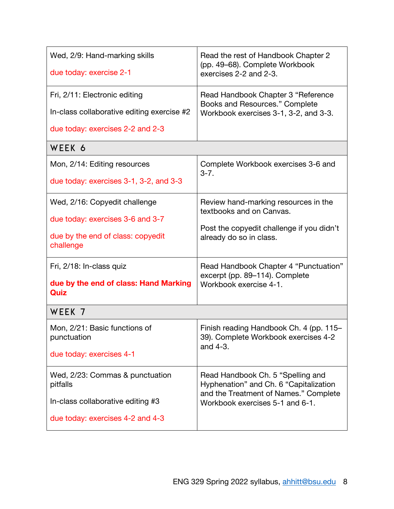| Wed, 2/9: Hand-marking skills<br>due today: exercise 2-1 | Read the rest of Handbook Chapter 2<br>(pp. 49-68). Complete Workbook<br>exercises 2-2 and 2-3. |  |  |
|----------------------------------------------------------|-------------------------------------------------------------------------------------------------|--|--|
| Fri, 2/11: Electronic editing                            | Read Handbook Chapter 3 "Reference                                                              |  |  |
| In-class collaborative editing exercise #2               | Books and Resources." Complete                                                                  |  |  |
| due today: exercises 2-2 and 2-3                         | Workbook exercises 3-1, 3-2, and 3-3.                                                           |  |  |
| WEEK 6                                                   |                                                                                                 |  |  |
| Mon, 2/14: Editing resources                             | Complete Workbook exercises 3-6 and                                                             |  |  |
| due today: exercises 3-1, 3-2, and 3-3                   | $3 - 7$ .                                                                                       |  |  |
| Wed, 2/16: Copyedit challenge                            | Review hand-marking resources in the                                                            |  |  |
| due today: exercises 3-6 and 3-7                         | textbooks and on Canvas.                                                                        |  |  |
| due by the end of class: copyedit                        | Post the copyedit challenge if you didn't                                                       |  |  |
| challenge                                                | already do so in class.                                                                         |  |  |
| Fri, 2/18: In-class quiz                                 | Read Handbook Chapter 4 "Punctuation"                                                           |  |  |
| due by the end of class: Hand Marking                    | excerpt (pp. 89-114). Complete                                                                  |  |  |
| Quiz                                                     | Workbook exercise 4-1.                                                                          |  |  |
| WEEK 7                                                   |                                                                                                 |  |  |
| Mon, 2/21: Basic functions of                            | Finish reading Handbook Ch. 4 (pp. 115-                                                         |  |  |
| punctuation                                              | 39). Complete Workbook exercises 4-2                                                            |  |  |
| due today: exercises 4-1                                 | and 4-3.                                                                                        |  |  |
| Wed, 2/23: Commas & punctuation                          | Read Handbook Ch. 5 "Spelling and                                                               |  |  |
| pitfalls                                                 | Hyphenation" and Ch. 6 "Capitalization                                                          |  |  |
| In-class collaborative editing #3                        | and the Treatment of Names." Complete                                                           |  |  |
| due today: exercises 4-2 and 4-3                         | Workbook exercises 5-1 and 6-1.                                                                 |  |  |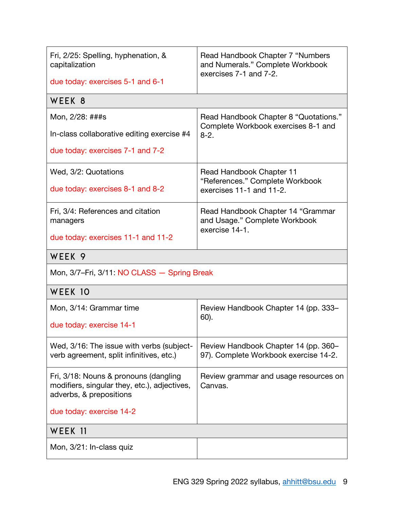| Fri, 2/25: Spelling, hyphenation, &<br>capitalization<br>due today: exercises 5-1 and 6-1                                                    | Read Handbook Chapter 7 "Numbers"<br>and Numerals." Complete Workbook<br>exercises 7-1 and 7-2. |  |  |  |
|----------------------------------------------------------------------------------------------------------------------------------------------|-------------------------------------------------------------------------------------------------|--|--|--|
| WEEK 8                                                                                                                                       |                                                                                                 |  |  |  |
| Mon, 2/28: ###s<br>In-class collaborative editing exercise #4<br>due today: exercises 7-1 and 7-2                                            | Read Handbook Chapter 8 "Quotations."<br>Complete Workbook exercises 8-1 and<br>$8 - 2.$        |  |  |  |
| Wed, 3/2: Quotations<br>due today: exercises 8-1 and 8-2                                                                                     | Read Handbook Chapter 11<br>"References." Complete Workbook<br>exercises 11-1 and 11-2.         |  |  |  |
| Fri, 3/4: References and citation<br>managers<br>due today: exercises 11-1 and 11-2                                                          | Read Handbook Chapter 14 "Grammar<br>and Usage." Complete Workbook<br>exercise 14-1.            |  |  |  |
| WEEK <sub>9</sub>                                                                                                                            |                                                                                                 |  |  |  |
| Mon, 3/7-Fri, 3/11: NO CLASS - Spring Break                                                                                                  |                                                                                                 |  |  |  |
| WEEK 10                                                                                                                                      |                                                                                                 |  |  |  |
| Mon, 3/14: Grammar time<br>due today: exercise 14-1                                                                                          | Review Handbook Chapter 14 (pp. 333–<br>60).                                                    |  |  |  |
| Wed, 3/16: The issue with verbs (subject-<br>verb agreement, split infinitives, etc.)                                                        | Review Handbook Chapter 14 (pp. 360-<br>97). Complete Workbook exercise 14-2.                   |  |  |  |
| Fri, 3/18: Nouns & pronouns (dangling<br>modifiers, singular they, etc.), adjectives,<br>adverbs, & prepositions<br>due today: exercise 14-2 | Review grammar and usage resources on<br>Canvas.                                                |  |  |  |
| WEEK 11                                                                                                                                      |                                                                                                 |  |  |  |
| Mon, 3/21: In-class quiz                                                                                                                     |                                                                                                 |  |  |  |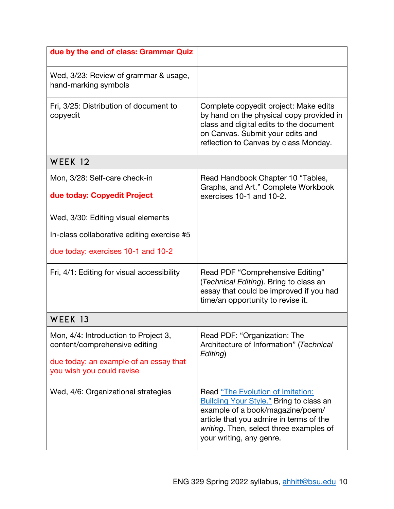| due by the end of class: Grammar Quiz                                 |                                                                                                                                                                                                                                           |  |  |
|-----------------------------------------------------------------------|-------------------------------------------------------------------------------------------------------------------------------------------------------------------------------------------------------------------------------------------|--|--|
| Wed, 3/23: Review of grammar & usage,<br>hand-marking symbols         |                                                                                                                                                                                                                                           |  |  |
| Fri, 3/25: Distribution of document to<br>copyedit                    | Complete copyedit project: Make edits<br>by hand on the physical copy provided in<br>class and digital edits to the document<br>on Canvas. Submit your edits and<br>reflection to Canvas by class Monday.                                 |  |  |
| WEEK 12                                                               |                                                                                                                                                                                                                                           |  |  |
| Mon, 3/28: Self-care check-in                                         | Read Handbook Chapter 10 "Tables,<br>Graphs, and Art." Complete Workbook<br>exercises 10-1 and 10-2.                                                                                                                                      |  |  |
| due today: Copyedit Project                                           |                                                                                                                                                                                                                                           |  |  |
| Wed, 3/30: Editing visual elements                                    |                                                                                                                                                                                                                                           |  |  |
| In-class collaborative editing exercise #5                            |                                                                                                                                                                                                                                           |  |  |
| due today: exercises 10-1 and 10-2                                    |                                                                                                                                                                                                                                           |  |  |
| Fri, 4/1: Editing for visual accessibility                            | Read PDF "Comprehensive Editing"<br>(Technical Editing). Bring to class an<br>essay that could be improved if you had<br>time/an opportunity to revise it.                                                                                |  |  |
| WEEK 13                                                               |                                                                                                                                                                                                                                           |  |  |
| Mon, 4/4: Introduction to Project 3,<br>content/comprehensive editing | Read PDF: "Organization: The<br>Architecture of Information" (Technical<br>Editing)                                                                                                                                                       |  |  |
| due today: an example of an essay that<br>you wish you could revise   |                                                                                                                                                                                                                                           |  |  |
| Wed, 4/6: Organizational strategies                                   | Read "The Evolution of Imitation:<br><b>Building Your Style."</b> Bring to class an<br>example of a book/magazine/poem/<br>article that you admire in terms of the<br>writing. Then, select three examples of<br>your writing, any genre. |  |  |